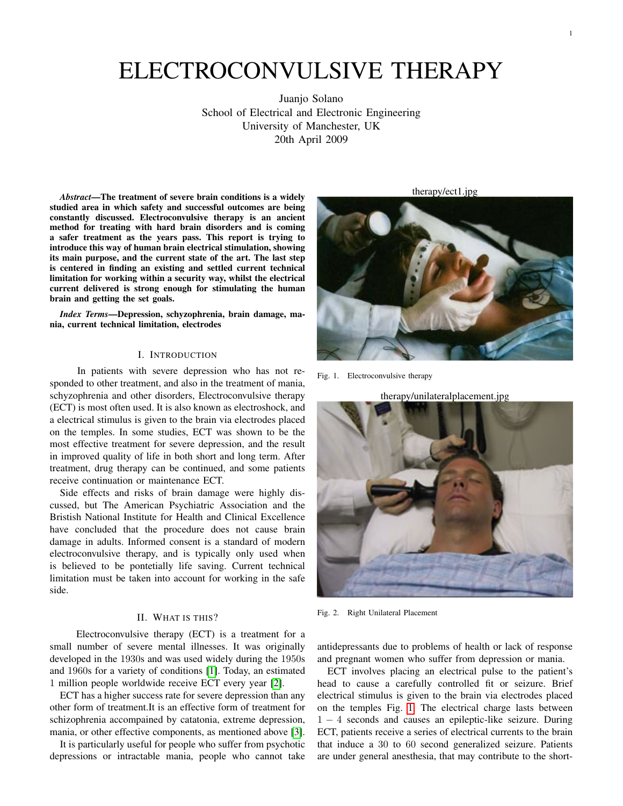# ELECTROCONVULSIVE THERAPY

Juanjo Solano School of Electrical and Electronic Engineering University of Manchester, UK 20th April 2009

*Abstract*—The treatment of severe brain conditions is a widely studied area in which safety and successful outcomes are being constantly discussed. Electroconvulsive therapy is an ancient method for treating with hard brain disorders and is coming a safer treatment as the years pass. This report is trying to introduce this way of human brain electrical stimulation, showing its main purpose, and the current state of the art. The last step is centered in finding an existing and settled current technical limitation for working within a security way, whilst the electrical current delivered is strong enough for stimulating the human brain and getting the set goals.

*Index Terms*—Depression, schyzophrenia, brain damage, mania, current technical limitation, electrodes

## I. INTRODUCTION

In patients with severe depression who has not responded to other treatment, and also in the treatment of mania, schyzophrenia and other disorders, Electroconvulsive therapy (ECT) is most often used. It is also known as electroshock, and a electrical stimulus is given to the brain via electrodes placed on the temples. In some studies, ECT was shown to be the most effective treatment for severe depression, and the result in improved quality of life in both short and long term. After treatment, drug therapy can be continued, and some patients receive continuation or maintenance ECT.

Side effects and risks of brain damage were highly discussed, but The American Psychiatric Association and the Bristish National Institute for Health and Clinical Excellence have concluded that the procedure does not cause brain damage in adults. Informed consent is a standard of modern electroconvulsive therapy, and is typically only used when is believed to be pontetially life saving. Current technical limitation must be taken into account for working in the safe side.

### II. WHAT IS THIS?

Electroconvulsive therapy (ECT) is a treatment for a small number of severe mental illnesses. It was originally developed in the 1930s and was used widely during the 1950s and 1960s for a variety of conditions [\[1\]](#page-3-0). Today, an estimated 1 million people worldwide receive ECT every year [\[2\]](#page-3-1).

ECT has a higher success rate for severe depression than any other form of treatment.It is an effective form of treatment for schizophrenia accompained by catatonia, extreme depression, mania, or other effective components, as mentioned above [\[3\]](#page-3-2).

It is particularly useful for people who suffer from psychotic depressions or intractable mania, people who cannot take

therapy/ect1.jpg



Fig. 1. Electroconvulsive therapy

<span id="page-0-0"></span>therapy/unilateralplacement.jpg



Fig. 2. Right Unilateral Placement

<span id="page-0-1"></span>antidepressants due to problems of health or lack of response and pregnant women who suffer from depression or mania.

ECT involves placing an electrical pulse to the patient's head to cause a carefully controlled fit or seizure. Brief electrical stimulus is given to the brain via electrodes placed on the temples Fig. [1.](#page-0-0) The electrical charge lasts between 1 − 4 seconds and causes an epileptic-like seizure. During ECT, patients receive a series of electrical currents to the brain that induce a 30 to 60 second generalized seizure. Patients are under general anesthesia, that may contribute to the short-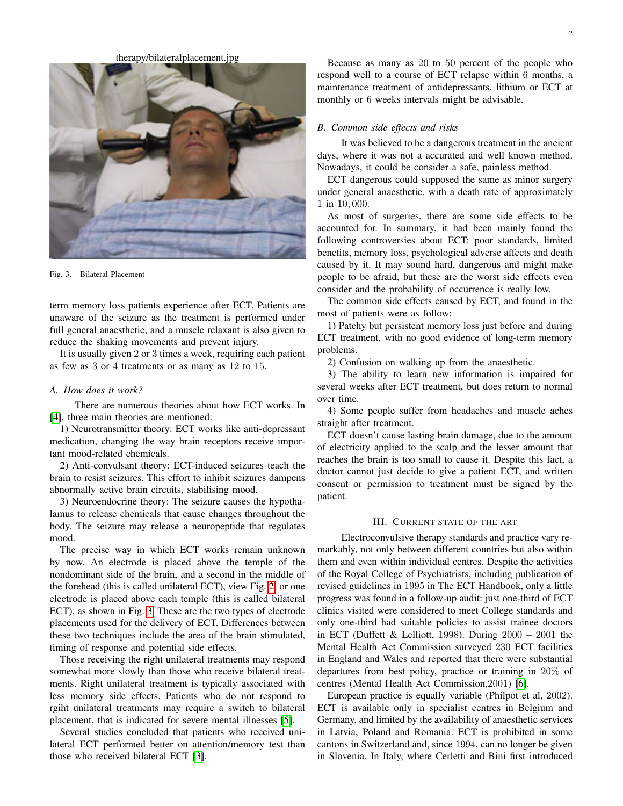therapy/bilateralplacement.jpg



Fig. 3. Bilateral Placement

<span id="page-1-0"></span>term memory loss patients experience after ECT. Patients are unaware of the seizure as the treatment is performed under full general anaesthetic, and a muscle relaxant is also given to reduce the shaking movements and prevent injury.

It is usually given 2 or 3 times a week, requiring each patient as few as 3 or 4 treatments or as many as 12 to 15.

#### *A. How does it work?*

There are numerous theories about how ECT works. In [\[4\]](#page-3-3), three main theories are mentioned:

1) Neurotransmitter theory: ECT works like anti-depressant medication, changing the way brain receptors receive important mood-related chemicals.

2) Anti-convulsant theory: ECT-induced seizures teach the brain to resist seizures. This effort to inhibit seizures dampens abnormally active brain circuits, stabilising mood.

3) Neuroendocrine theory: The seizure causes the hypothalamus to release chemicals that cause changes throughout the body. The seizure may release a neuropeptide that regulates mood.

The precise way in which ECT works remain unknown by now. An electrode is placed above the temple of the nondominant side of the brain, and a second in the middle of the forehead (this is called unilateral ECT), view Fig. [2;](#page-0-1) or one electrode is placed above each temple (this is called bilateral ECT), as shown in Fig. [3.](#page-1-0) These are the two types of electrode placements used for the delivery of ECT. Differences between these two techniques include the area of the brain stimulated, timing of response and potential side effects.

Those receiving the right unilateral treatments may respond somewhat more slowly than those who receive bilateral treatments. Right unilateral treatment is typically associated with less memory side effects. Patients who do not respond to rgiht unilateral treatments may require a switch to bilateral placement, that is indicated for severe mental illnesses [\[5\]](#page-3-4).

Several studies concluded that patients who received unilateral ECT performed better on attention/memory test than those who received bilateral ECT [\[3\]](#page-3-2).

Because as many as 20 to 50 percent of the people who respond well to a course of ECT relapse within 6 months, a maintenance treatment of antidepressants, lithium or ECT at monthly or 6 weeks intervals might be advisable.

## *B. Common side effects and risks*

It was believed to be a dangerous treatment in the ancient days, where it was not a accurated and well known method. Nowadays, it could be consider a safe, painless method.

ECT dangerous could supposed the same as minor surgery under general anaesthetic, with a death rate of approximately 1 in 10, 000.

As most of surgeries, there are some side effects to be accounted for. In summary, it had been mainly found the following controversies about ECT: poor standards, limited benefits, memory loss, psychological adverse affects and death caused by it. It may sound hard, dangerous and might make people to be afraid, but these are the worst side effects even consider and the probability of occurrence is really low.

The common side effects caused by ECT, and found in the most of patients were as follow:

1) Patchy but persistent memory loss just before and during ECT treatment, with no good evidence of long-term memory problems.

2) Confusion on walking up from the anaesthetic.

3) The ability to learn new information is impaired for several weeks after ECT treatment, but does return to normal over time.

4) Some people suffer from headaches and muscle aches straight after treatment.

ECT doesn't cause lasting brain damage, due to the amount of electricity applied to the scalp and the lesser amount that reaches the brain is too small to cause it. Despite this fact, a doctor cannot just decide to give a patient ECT, and written consent or permission to treatment must be signed by the patient.

# III. CURRENT STATE OF THE ART

Electroconvulsive therapy standards and practice vary remarkably, not only between different countries but also within them and even within individual centres. Despite the activities of the Royal College of Psychiatrists, including publication of revised guidelines in 1995 in The ECT Handbook, only a little progress was found in a follow-up audit: just one-third of ECT clinics visited were considered to meet College standards and only one-third had suitable policies to assist trainee doctors in ECT (Duffett & Lelliott, 1998). During 2000 − 2001 the Mental Health Act Commission surveyed 230 ECT facilities in England and Wales and reported that there were substantial departures from best policy, practice or training in 20% of centres (Mental Health Act Commission,2001) [\[6\]](#page-3-5).

European practice is equally variable (Philpot et al, 2002). ECT is available only in specialist centres in Belgium and Germany, and limited by the availability of anaesthetic services in Latvia, Poland and Romania. ECT is prohibited in some cantons in Switzerland and, since 1994, can no longer be given in Slovenia. In Italy, where Cerletti and Bini first introduced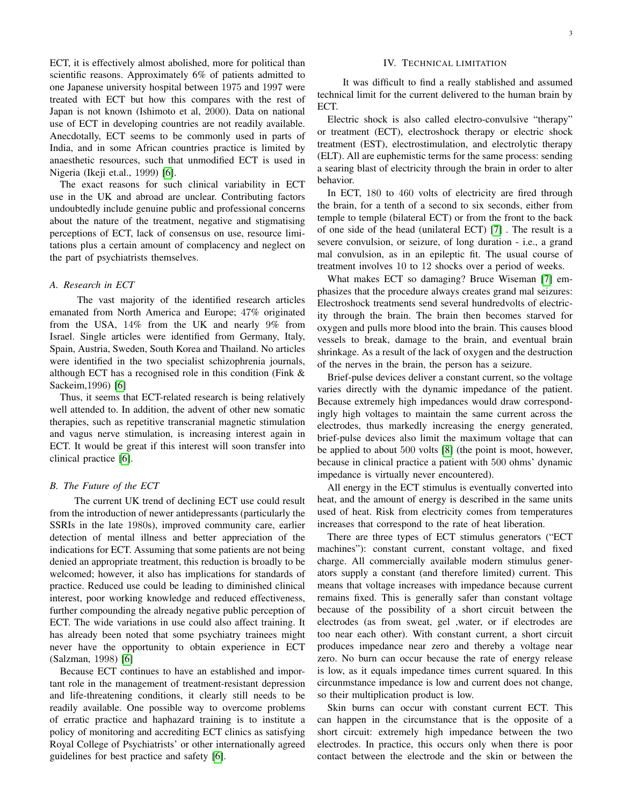ECT, it is effectively almost abolished, more for political than scientific reasons. Approximately 6% of patients admitted to one Japanese university hospital between 1975 and 1997 were treated with ECT but how this compares with the rest of Japan is not known (Ishimoto et al, 2000). Data on national use of ECT in developing countries are not readily available. Anecdotally, ECT seems to be commonly used in parts of India, and in some African countries practice is limited by anaesthetic resources, such that unmodified ECT is used in Nigeria (Ikeji et.al., 1999) [\[6\]](#page-3-5).

The exact reasons for such clinical variability in ECT use in the UK and abroad are unclear. Contributing factors undoubtedly include genuine public and professional concerns about the nature of the treatment, negative and stigmatising perceptions of ECT, lack of consensus on use, resource limitations plus a certain amount of complacency and neglect on the part of psychiatrists themselves.

# *A. Research in ECT*

The vast majority of the identified research articles emanated from North America and Europe; 47% originated from the USA, 14% from the UK and nearly 9% from Israel. Single articles were identified from Germany, Italy, Spain, Austria, Sweden, South Korea and Thailand. No articles were identified in the two specialist schizophrenia journals, although ECT has a recognised role in this condition (Fink & Sackeim,1996) [\[6\]](#page-3-5)

Thus, it seems that ECT-related research is being relatively well attended to. In addition, the advent of other new somatic therapies, such as repetitive transcranial magnetic stimulation and vagus nerve stimulation, is increasing interest again in ECT. It would be great if this interest will soon transfer into clinical practice [\[6\]](#page-3-5).

# *B. The Future of the ECT*

The current UK trend of declining ECT use could result from the introduction of newer antidepressants (particularly the SSRIs in the late 1980s), improved community care, earlier detection of mental illness and better appreciation of the indications for ECT. Assuming that some patients are not being denied an appropriate treatment, this reduction is broadly to be welcomed; however, it also has implications for standards of practice. Reduced use could be leading to diminished clinical interest, poor working knowledge and reduced effectiveness, further compounding the already negative public perception of ECT. The wide variations in use could also affect training. It has already been noted that some psychiatry trainees might never have the opportunity to obtain experience in ECT (Salzman, 1998) [\[6\]](#page-3-5)

Because ECT continues to have an established and important role in the management of treatment-resistant depression and life-threatening conditions, it clearly still needs to be readily available. One possible way to overcome problems of erratic practice and haphazard training is to institute a policy of monitoring and accrediting ECT clinics as satisfying Royal College of Psychiatrists' or other internationally agreed guidelines for best practice and safety [\[6\]](#page-3-5).

# IV. TECHNICAL LIMITATION

It was difficult to find a really stablished and assumed technical limit for the current delivered to the human brain by ECT.

Electric shock is also called electro-convulsive "therapy" or treatment (ECT), electroshock therapy or electric shock treatment (EST), electrostimulation, and electrolytic therapy (ELT). All are euphemistic terms for the same process: sending a searing blast of electricity through the brain in order to alter behavior.

In ECT, 180 to 460 volts of electricity are fired through the brain, for a tenth of a second to six seconds, either from temple to temple (bilateral ECT) or from the front to the back of one side of the head (unilateral ECT) [\[7\]](#page-3-6) . The result is a severe convulsion, or seizure, of long duration - i.e., a grand mal convulsion, as in an epileptic fit. The usual course of treatment involves 10 to 12 shocks over a period of weeks.

What makes ECT so damaging? Bruce Wiseman [\[7\]](#page-3-6) emphasizes that the procedure always creates grand mal seizures: Electroshock treatments send several hundredvolts of electricity through the brain. The brain then becomes starved for oxygen and pulls more blood into the brain. This causes blood vessels to break, damage to the brain, and eventual brain shrinkage. As a result of the lack of oxygen and the destruction of the nerves in the brain, the person has a seizure.

Brief-pulse devices deliver a constant current, so the voltage varies directly with the dynamic impedance of the patient. Because extremely high impedances would draw correspondingly high voltages to maintain the same current across the electrodes, thus markedly increasing the energy generated, brief-pulse devices also limit the maximum voltage that can be applied to about 500 volts [\[8\]](#page-3-7) (the point is moot, however, because in clinical practice a patient with 500 ohms' dynamic impedance is virtually never encountered).

All energy in the ECT stimulus is eventually converted into heat, and the amount of energy is described in the same units used of heat. Risk from electricity comes from temperatures increases that correspond to the rate of heat liberation.

There are three types of ECT stimulus generators ("ECT machines"): constant current, constant voltage, and fixed charge. All commercially available modern stimulus generators supply a constant (and therefore limited) current. This means that voltage increases with impedance because current remains fixed. This is generally safer than constant voltage because of the possibility of a short circuit between the electrodes (as from sweat, gel ,water, or if electrodes are too near each other). With constant current, a short circuit produces impedance near zero and thereby a voltage near zero. No burn can occur because the rate of energy release is low, as it equals impedance times current squared. In this circunmstance impedance is low and current does not change, so their multiplication product is low.

Skin burns can occur with constant current ECT. This can happen in the circumstance that is the opposite of a short circuit: extremely high impedance between the two electrodes. In practice, this occurs only when there is poor contact between the electrode and the skin or between the